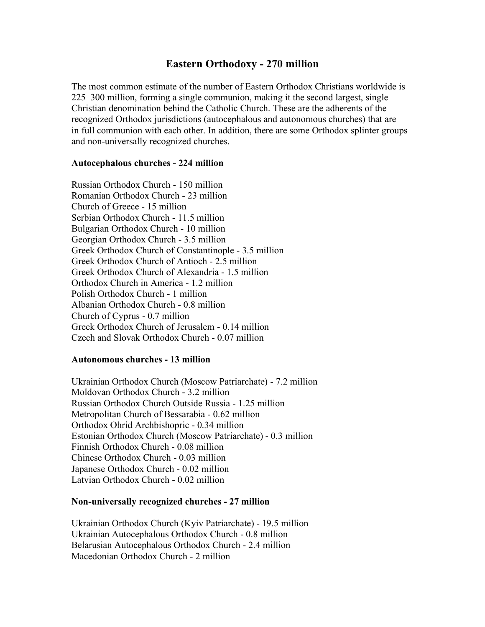# **Eastern Orthodoxy - 270 million**

The most common estimate of the number of Eastern Orthodox Christians worldwide is 225–300 million, forming a single communion, making it the second largest, single Christian denomination behind the Catholic Church. These are the adherents of the recognized Orthodox jurisdictions (autocephalous and autonomous churches) that are in full communion with each other. In addition, there are some Orthodox splinter groups and non-universally recognized churches.

#### **Autocephalous churches - 224 million**

Russian Orthodox Church - 150 million Romanian Orthodox Church - 23 million Church of Greece - 15 million Serbian Orthodox Church - 11.5 million Bulgarian Orthodox Church - 10 million Georgian Orthodox Church - 3.5 million Greek Orthodox Church of Constantinople - 3.5 million Greek Orthodox Church of Antioch - 2.5 million Greek Orthodox Church of Alexandria - 1.5 million Orthodox Church in America - 1.2 million Polish Orthodox Church - 1 million Albanian Orthodox Church - 0.8 million Church of Cyprus - 0.7 million Greek Orthodox Church of Jerusalem - 0.14 million Czech and Slovak Orthodox Church - 0.07 million

#### **Autonomous churches - 13 million**

Ukrainian Orthodox Church (Moscow Patriarchate) - 7.2 million Moldovan Orthodox Church - 3.2 million Russian Orthodox Church Outside Russia - 1.25 million Metropolitan Church of Bessarabia - 0.62 million Orthodox Ohrid Archbishopric - 0.34 million Estonian Orthodox Church (Moscow Patriarchate) - 0.3 million Finnish Orthodox Church - 0.08 million Chinese Orthodox Church - 0.03 million Japanese Orthodox Church - 0.02 million Latvian Orthodox Church - 0.02 million

#### **Non-universally recognized churches - 27 million**

Ukrainian Orthodox Church (Kyiv Patriarchate) - 19.5 million Ukrainian Autocephalous Orthodox Church - 0.8 million Belarusian Autocephalous Orthodox Church - 2.4 million Macedonian Orthodox Church - 2 million